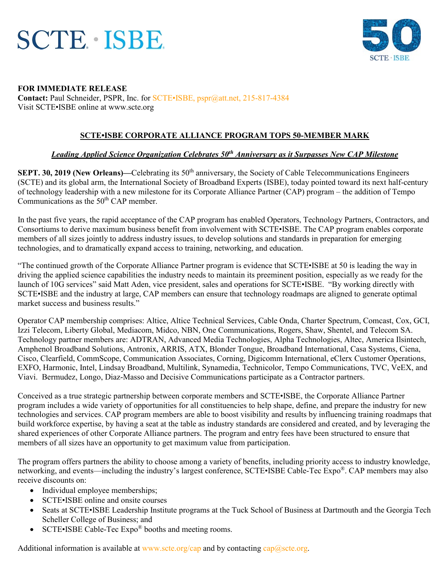



## **FOR IMMEDIATE RELEASE Contact:** Paul Schneider, PSPR, Inc. for SCTE•ISBE, [pspr@att.net,](mailto:pspr@att.net) 215-817-4384 Visit SCTE•ISBE online at [www.scte.org](http://www.scte.org/)

## **SCTE•ISBE CORPORATE ALLIANCE PROGRAM TOPS 50-MEMBER MARK**

## *Leading Applied Science Organization Celebrates 50th Anniversary as it Surpasses New CAP Milestone*

**SEPT. 30, 2019 (New Orleans)—Celebrating its 50<sup>th</sup> anniversary, the Society of Cable Telecommunications Engineers** (SCTE) and its global arm, the International Society of Broadband Experts (ISBE), today pointed toward its next half-century of technology leadership with a new milestone for its Corporate Alliance Partner (CAP) program – the addition of Tempo Communications as the  $50<sup>th</sup>$  CAP member.

In the past five years, the rapid acceptance of the CAP program has enabled Operators, Technology Partners, Contractors, and Consortiums to derive maximum business benefit from involvement with SCTE•ISBE. The CAP program enables corporate members of all sizes jointly to address industry issues, to develop solutions and standards in preparation for emerging technologies, and to dramatically expand access to training, networking, and education.

"The continued growth of the Corporate Alliance Partner program is evidence that SCTE•ISBE at 50 is leading the way in driving the applied science capabilities the industry needs to maintain its preeminent position, especially as we ready for the launch of 10G services" said Matt Aden, vice president, sales and operations for SCTE•ISBE. "By working directly with SCTE•ISBE and the industry at large, CAP members can ensure that technology roadmaps are aligned to generate optimal market success and business results."

Operator CAP membership comprises: Altice, Altice Technical Services, Cable Onda, Charter Spectrum, Comcast, Cox, GCI, Izzi Telecom, Liberty Global, Mediacom, Midco, NBN, One Communications, Rogers, Shaw, Shentel, and Telecom SA. Technology partner members are: ADTRAN, Advanced Media Technologies, Alpha Technologies, Altec, America Ilsintech, Amphenol Broadband Solutions, Antronix, ARRIS, ATX, Blonder Tongue, Broadband International, Casa Systems, Ciena, Cisco, Clearfield, CommScope, Communication Associates, Corning, Digicomm International, eClerx Customer Operations, EXFO, Harmonic, Intel, Lindsay Broadband, Multilink, Synamedia, Technicolor, Tempo Communications, TVC, VeEX, and Viavi. Bermudez, Longo, Diaz-Masso and Decisive Communications participate as a Contractor partners.

Conceived as a true strategic partnership between corporate members and SCTE•ISBE, the Corporate Alliance Partner program includes a wide variety of opportunities for all constituencies to help shape, define, and prepare the industry for new technologies and services. CAP program members are able to boost visibility and results by influencing training roadmaps that build workforce expertise, by having a seat at the table as industry standards are considered and created, and by leveraging the shared experiences of other Corporate Alliance partners. The program and entry fees have been structured to ensure that members of all sizes have an opportunity to get maximum value from participation.

The program offers partners the ability to choose among a variety of benefits, including priority access to industry knowledge, networking, and events—including the industry's largest conference, SCTE•ISBE Cable-Tec Expo®. CAP members may also receive discounts on:

- Individual employee memberships;
- SCTE•ISBE online and onsite courses
- Seats at SCTE•ISBE Leadership Institute programs at the Tuck School of Business at Dartmouth and the Georgia Tech Scheller College of Business; and
- SCTE•ISBE Cable-Tec Expo® booths and meeting rooms.

Additional information is available at [www.scte.org/cap](http://www.scte.org/cap) and by contacting [cap@scte.org.](mailto:cap@scte.org)